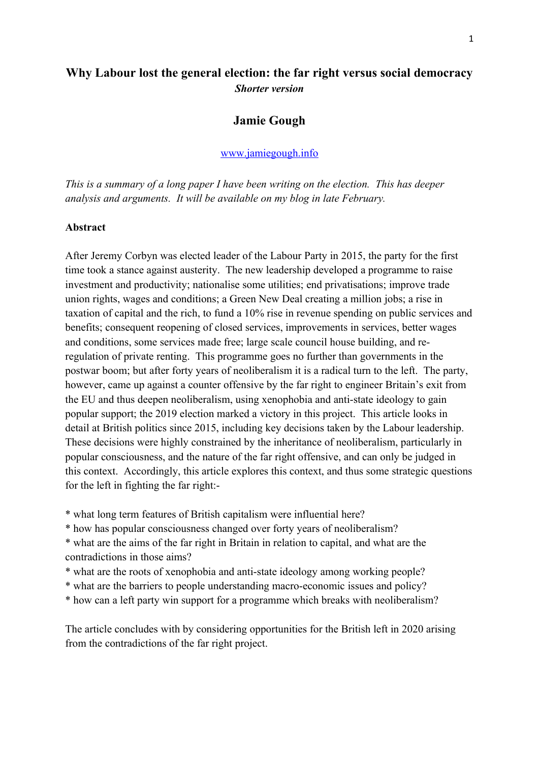# **Why Labour lost the general election: the far right versus social democracy** *Shorter version*

## **Jamie Gough**

### [www.jamiegough.info](http://www.jamiegough.info/)

*This is a summary of a long paper I have been writing on the election. This has deeper analysis and arguments. It will be available on my blog in late February.*

#### **Abstract**

After Jeremy Corbyn was elected leader of the Labour Party in 2015, the party for the first time took a stance against austerity. The new leadership developed a programme to raise investment and productivity; nationalise some utilities; end privatisations; improve trade union rights, wages and conditions; a Green New Deal creating a million jobs; a rise in taxation of capital and the rich, to fund a 10% rise in revenue spending on public services and benefits; consequent reopening of closed services, improvements in services, better wages and conditions, some services made free; large scale council house building, and reregulation of private renting. This programme goes no further than governments in the postwar boom; but after forty years of neoliberalism it is a radical turn to the left. The party, however, came up against a counter offensive by the far right to engineer Britain's exit from the EU and thus deepen neoliberalism, using xenophobia and anti-state ideology to gain popular support; the 2019 election marked a victory in this project. This article looks in detail at British politics since 2015, including key decisions taken by the Labour leadership. These decisions were highly constrained by the inheritance of neoliberalism, particularly in popular consciousness, and the nature of the far right offensive, and can only be judged in this context. Accordingly, this article explores this context, and thus some strategic questions for the left in fighting the far right:-

- \* what long term features of British capitalism were influential here?
- \* how has popular consciousness changed over forty years of neoliberalism?
- \* what are the aims of the far right in Britain in relation to capital, and what are the contradictions in those aims?
- \* what are the roots of xenophobia and anti-state ideology among working people?
- \* what are the barriers to people understanding macro-economic issues and policy?
- \* how can a left party win support for a programme which breaks with neoliberalism?

The article concludes with by considering opportunities for the British left in 2020 arising from the contradictions of the far right project.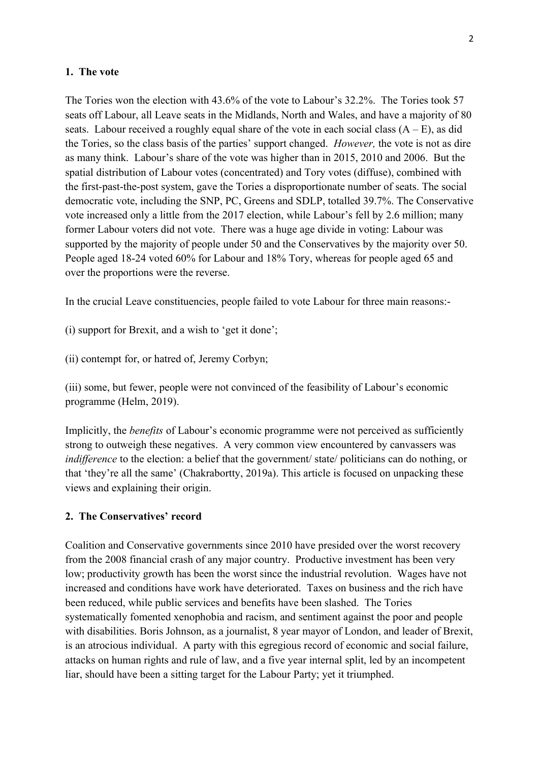#### **1. The vote**

The Tories won the election with 43.6% of the vote to Labour's 32.2%. The Tories took 57 seats off Labour, all Leave seats in the Midlands, North and Wales, and have a majority of 80 seats. Labour received a roughly equal share of the vote in each social class  $(A - E)$ , as did the Tories, so the class basis of the parties' support changed. *However,* the vote is not as dire as many think. Labour's share of the vote was higher than in 2015, 2010 and 2006. But the spatial distribution of Labour votes (concentrated) and Tory votes (diffuse), combined with the first-past-the-post system, gave the Tories a disproportionate number of seats. The social democratic vote, including the SNP, PC, Greens and SDLP, totalled 39.7%. The Conservative vote increased only a little from the 2017 election, while Labour's fell by 2.6 million; many former Labour voters did not vote. There was a huge age divide in voting: Labour was supported by the majority of people under 50 and the Conservatives by the majority over 50. People aged 18-24 voted 60% for Labour and 18% Tory, whereas for people aged 65 and over the proportions were the reverse.

In the crucial Leave constituencies, people failed to vote Labour for three main reasons:-

(i) support for Brexit, and a wish to 'get it done';

(ii) contempt for, or hatred of, Jeremy Corbyn;

(iii) some, but fewer, people were not convinced of the feasibility of Labour's economic programme (Helm, 2019).

Implicitly, the *benefits* of Labour's economic programme were not perceived as sufficiently strong to outweigh these negatives. A very common view encountered by canvassers was *indifference* to the election: a belief that the government/ state/ politicians can do nothing, or that 'they're all the same' (Chakrabortty, 2019a). This article is focused on unpacking these views and explaining their origin.

### **2. The Conservatives' record**

Coalition and Conservative governments since 2010 have presided over the worst recovery from the 2008 financial crash of any major country. Productive investment has been very low; productivity growth has been the worst since the industrial revolution. Wages have not increased and conditions have work have deteriorated. Taxes on business and the rich have been reduced, while public services and benefits have been slashed. The Tories systematically fomented xenophobia and racism, and sentiment against the poor and people with disabilities. Boris Johnson, as a journalist, 8 year mayor of London, and leader of Brexit, is an atrocious individual. A party with this egregious record of economic and social failure, attacks on human rights and rule of law, and a five year internal split, led by an incompetent liar, should have been a sitting target for the Labour Party; yet it triumphed.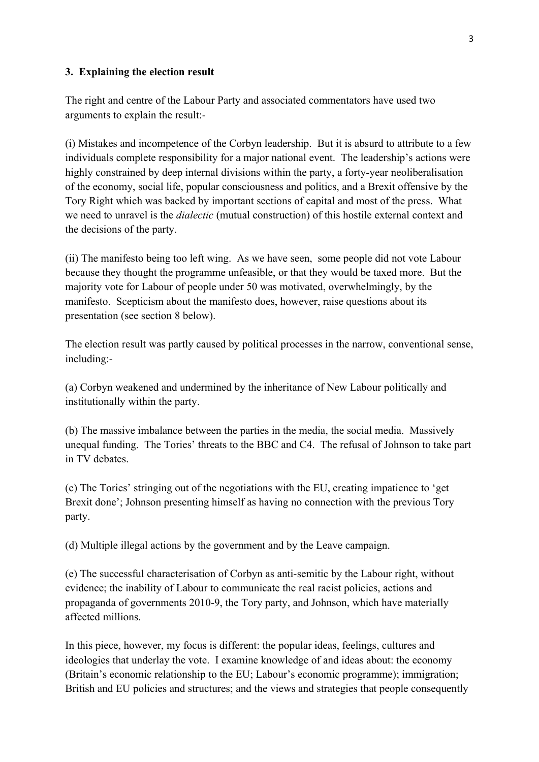### **3. Explaining the election result**

The right and centre of the Labour Party and associated commentators have used two arguments to explain the result:-

(i) Mistakes and incompetence of the Corbyn leadership. But it is absurd to attribute to a few individuals complete responsibility for a major national event. The leadership's actions were highly constrained by deep internal divisions within the party, a forty-year neoliberalisation of the economy, social life, popular consciousness and politics, and a Brexit offensive by the Tory Right which was backed by important sections of capital and most of the press. What we need to unravel is the *dialectic* (mutual construction) of this hostile external context and the decisions of the party.

(ii) The manifesto being too left wing. As we have seen, some people did not vote Labour because they thought the programme unfeasible, or that they would be taxed more. But the majority vote for Labour of people under 50 was motivated, overwhelmingly, by the manifesto. Scepticism about the manifesto does, however, raise questions about its presentation (see section 8 below).

The election result was partly caused by political processes in the narrow, conventional sense, including:-

(a) Corbyn weakened and undermined by the inheritance of New Labour politically and institutionally within the party.

(b) The massive imbalance between the parties in the media, the social media. Massively unequal funding. The Tories' threats to the BBC and C4. The refusal of Johnson to take part in TV debates.

(c) The Tories' stringing out of the negotiations with the EU, creating impatience to 'get Brexit done'; Johnson presenting himself as having no connection with the previous Tory party.

(d) Multiple illegal actions by the government and by the Leave campaign.

(e) The successful characterisation of Corbyn as anti-semitic by the Labour right, without evidence; the inability of Labour to communicate the real racist policies, actions and propaganda of governments 2010-9, the Tory party, and Johnson, which have materially affected millions.

In this piece, however, my focus is different: the popular ideas, feelings, cultures and ideologies that underlay the vote. I examine knowledge of and ideas about: the economy (Britain's economic relationship to the EU; Labour's economic programme); immigration; British and EU policies and structures; and the views and strategies that people consequently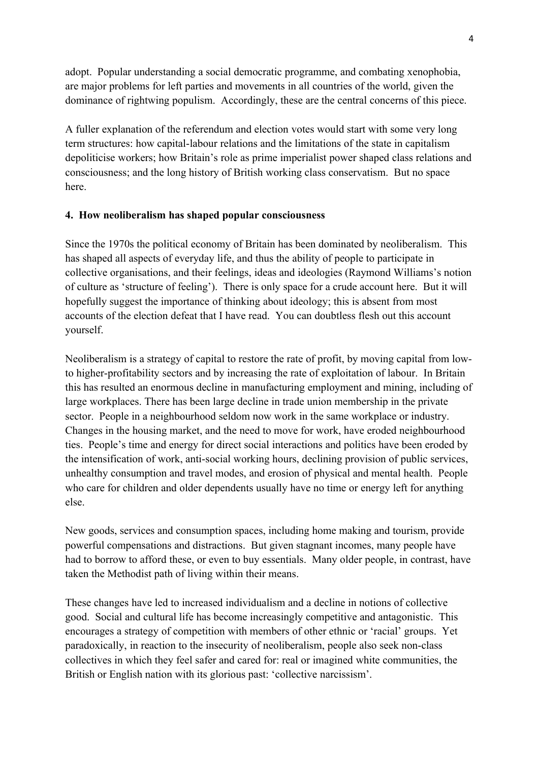adopt. Popular understanding a social democratic programme, and combating xenophobia, are major problems for left parties and movements in all countries of the world, given the dominance of rightwing populism. Accordingly, these are the central concerns of this piece.

A fuller explanation of the referendum and election votes would start with some very long term structures: how capital-labour relations and the limitations of the state in capitalism depoliticise workers; how Britain's role as prime imperialist power shaped class relations and consciousness; and the long history of British working class conservatism. But no space here.

### **4. How neoliberalism has shaped popular consciousness**

Since the 1970s the political economy of Britain has been dominated by neoliberalism. This has shaped all aspects of everyday life, and thus the ability of people to participate in collective organisations, and their feelings, ideas and ideologies (Raymond Williams's notion of culture as 'structure of feeling'). There is only space for a crude account here. But it will hopefully suggest the importance of thinking about ideology; this is absent from most accounts of the election defeat that I have read. You can doubtless flesh out this account yourself.

Neoliberalism is a strategy of capital to restore the rate of profit, by moving capital from lowto higher-profitability sectors and by increasing the rate of exploitation of labour. In Britain this has resulted an enormous decline in manufacturing employment and mining, including of large workplaces. There has been large decline in trade union membership in the private sector. People in a neighbourhood seldom now work in the same workplace or industry. Changes in the housing market, and the need to move for work, have eroded neighbourhood ties. People's time and energy for direct social interactions and politics have been eroded by the intensification of work, anti-social working hours, declining provision of public services, unhealthy consumption and travel modes, and erosion of physical and mental health. People who care for children and older dependents usually have no time or energy left for anything else.

New goods, services and consumption spaces, including home making and tourism, provide powerful compensations and distractions. But given stagnant incomes, many people have had to borrow to afford these, or even to buy essentials. Many older people, in contrast, have taken the Methodist path of living within their means.

These changes have led to increased individualism and a decline in notions of collective good. Social and cultural life has become increasingly competitive and antagonistic. This encourages a strategy of competition with members of other ethnic or 'racial' groups. Yet paradoxically, in reaction to the insecurity of neoliberalism, people also seek non-class collectives in which they feel safer and cared for: real or imagined white communities, the British or English nation with its glorious past: 'collective narcissism'.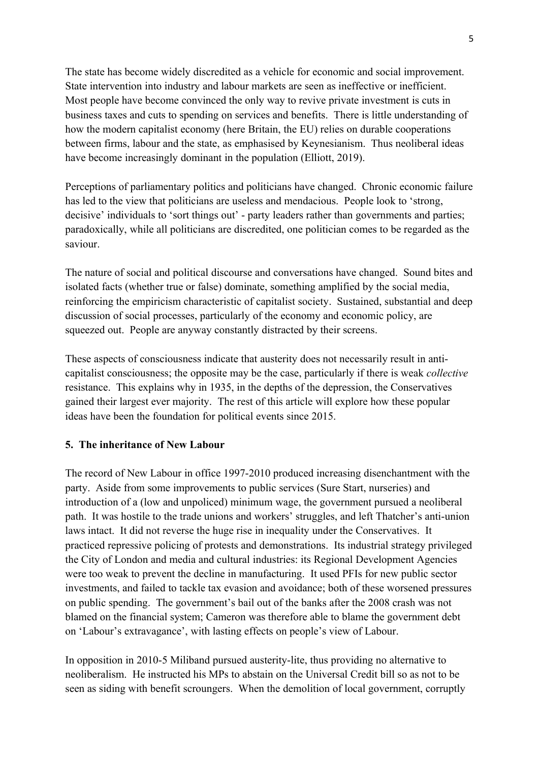The state has become widely discredited as a vehicle for economic and social improvement. State intervention into industry and labour markets are seen as ineffective or inefficient. Most people have become convinced the only way to revive private investment is cuts in business taxes and cuts to spending on services and benefits. There is little understanding of how the modern capitalist economy (here Britain, the EU) relies on durable cooperations between firms, labour and the state, as emphasised by Keynesianism. Thus neoliberal ideas have become increasingly dominant in the population (Elliott, 2019).

Perceptions of parliamentary politics and politicians have changed. Chronic economic failure has led to the view that politicians are useless and mendacious. People look to 'strong, decisive' individuals to 'sort things out' - party leaders rather than governments and parties; paradoxically, while all politicians are discredited, one politician comes to be regarded as the saviour.

The nature of social and political discourse and conversations have changed. Sound bites and isolated facts (whether true or false) dominate, something amplified by the social media, reinforcing the empiricism characteristic of capitalist society. Sustained, substantial and deep discussion of social processes, particularly of the economy and economic policy, are squeezed out. People are anyway constantly distracted by their screens.

These aspects of consciousness indicate that austerity does not necessarily result in anticapitalist consciousness; the opposite may be the case, particularly if there is weak *collective*  resistance. This explains why in 1935, in the depths of the depression, the Conservatives gained their largest ever majority. The rest of this article will explore how these popular ideas have been the foundation for political events since 2015.

### **5. The inheritance of New Labour**

The record of New Labour in office 1997-2010 produced increasing disenchantment with the party. Aside from some improvements to public services (Sure Start, nurseries) and introduction of a (low and unpoliced) minimum wage, the government pursued a neoliberal path. It was hostile to the trade unions and workers' struggles, and left Thatcher's anti-union laws intact. It did not reverse the huge rise in inequality under the Conservatives. It practiced repressive policing of protests and demonstrations. Its industrial strategy privileged the City of London and media and cultural industries: its Regional Development Agencies were too weak to prevent the decline in manufacturing. It used PFIs for new public sector investments, and failed to tackle tax evasion and avoidance; both of these worsened pressures on public spending. The government's bail out of the banks after the 2008 crash was not blamed on the financial system; Cameron was therefore able to blame the government debt on 'Labour's extravagance', with lasting effects on people's view of Labour.

In opposition in 2010-5 Miliband pursued austerity-lite, thus providing no alternative to neoliberalism. He instructed his MPs to abstain on the Universal Credit bill so as not to be seen as siding with benefit scroungers. When the demolition of local government, corruptly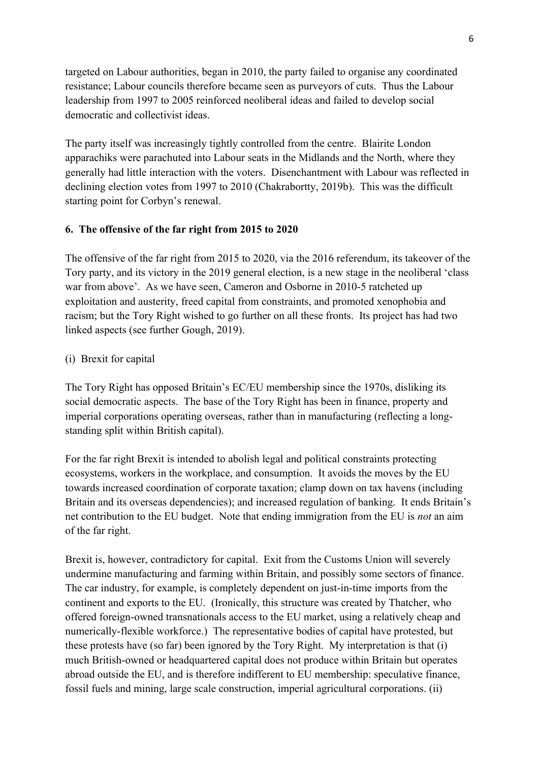targeted on Labour authorities, began in 2010, the party failed to organise any coordinated resistance; Labour councils therefore became seen as purveyors of cuts. Thus the Labour leadership from 1997 to 2005 reinforced neoliberal ideas and failed to develop social democratic and collectivist ideas.

The party itself was increasingly tightly controlled from the centre. Blairite London apparachiks were parachuted into Labour seats in the Midlands and the North, where they generally had little interaction with the voters. Disenchantment with Labour was reflected in declining election votes from 1997 to 2010 (Chakrabortty, 2019b). This was the difficult starting point for Corbyn's renewal.

### **6. The offensive of the far right from 2015 to 2020**

The offensive of the far right from 2015 to 2020, via the 2016 referendum, its takeover of the Tory party, and its victory in the 2019 general election, is a new stage in the neoliberal 'class war from above'. As we have seen, Cameron and Osborne in 2010-5 ratcheted up exploitation and austerity, freed capital from constraints, and promoted xenophobia and racism; but the Tory Right wished to go further on all these fronts. Its project has had two linked aspects (see further Gough, 2019).

#### (i) Brexit for capital

The Tory Right has opposed Britain's EC/EU membership since the 1970s, disliking its social democratic aspects. The base of the Tory Right has been in finance, property and imperial corporations operating overseas, rather than in manufacturing (reflecting a longstanding split within British capital).

For the far right Brexit is intended to abolish legal and political constraints protecting ecosystems, workers in the workplace, and consumption. It avoids the moves by the EU towards increased coordination of corporate taxation; clamp down on tax havens (including Britain and its overseas dependencies); and increased regulation of banking. It ends Britain's net contribution to the EU budget. Note that ending immigration from the EU is *not* an aim of the far right.

Brexit is, however, contradictory for capital. Exit from the Customs Union will severely undermine manufacturing and farming within Britain, and possibly some sectors of finance. The car industry, for example, is completely dependent on just-in-time imports from the continent and exports to the EU. (Ironically, this structure was created by Thatcher, who offered foreign-owned transnationals access to the EU market, using a relatively cheap and numerically-flexible workforce.) The representative bodies of capital have protested, but these protests have (so far) been ignored by the Tory Right. My interpretation is that (i) much British-owned or headquartered capital does not produce within Britain but operates abroad outside the EU, and is therefore indifferent to EU membership: speculative finance, fossil fuels and mining, large scale construction, imperial agricultural corporations. (ii)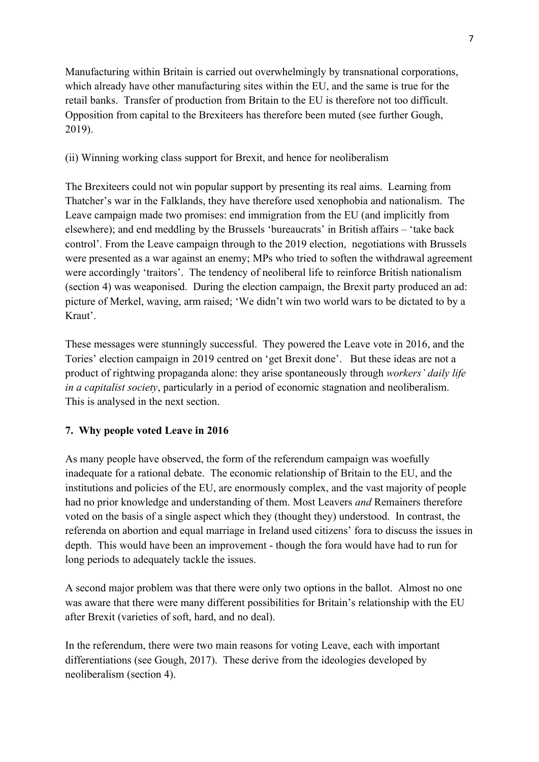Manufacturing within Britain is carried out overwhelmingly by transnational corporations, which already have other manufacturing sites within the EU, and the same is true for the retail banks. Transfer of production from Britain to the EU is therefore not too difficult. Opposition from capital to the Brexiteers has therefore been muted (see further Gough, 2019).

## (ii) Winning working class support for Brexit, and hence for neoliberalism

The Brexiteers could not win popular support by presenting its real aims. Learning from Thatcher's war in the Falklands, they have therefore used xenophobia and nationalism. The Leave campaign made two promises: end immigration from the EU (and implicitly from elsewhere); and end meddling by the Brussels 'bureaucrats' in British affairs – 'take back control'. From the Leave campaign through to the 2019 election, negotiations with Brussels were presented as a war against an enemy; MPs who tried to soften the withdrawal agreement were accordingly 'traitors'. The tendency of neoliberal life to reinforce British nationalism (section 4) was weaponised. During the election campaign, the Brexit party produced an ad: picture of Merkel, waving, arm raised; 'We didn't win two world wars to be dictated to by a Kraut'.

These messages were stunningly successful. They powered the Leave vote in 2016, and the Tories' election campaign in 2019 centred on 'get Brexit done'. But these ideas are not a product of rightwing propaganda alone: they arise spontaneously through *workers' daily life in a capitalist society*, particularly in a period of economic stagnation and neoliberalism. This is analysed in the next section.

## **7. Why people voted Leave in 2016**

As many people have observed, the form of the referendum campaign was woefully inadequate for a rational debate. The economic relationship of Britain to the EU, and the institutions and policies of the EU, are enormously complex, and the vast majority of people had no prior knowledge and understanding of them. Most Leavers *and* Remainers therefore voted on the basis of a single aspect which they (thought they) understood. In contrast, the referenda on abortion and equal marriage in Ireland used citizens' fora to discuss the issues in depth. This would have been an improvement - though the fora would have had to run for long periods to adequately tackle the issues.

A second major problem was that there were only two options in the ballot. Almost no one was aware that there were many different possibilities for Britain's relationship with the EU after Brexit (varieties of soft, hard, and no deal).

In the referendum, there were two main reasons for voting Leave, each with important differentiations (see Gough, 2017). These derive from the ideologies developed by neoliberalism (section 4).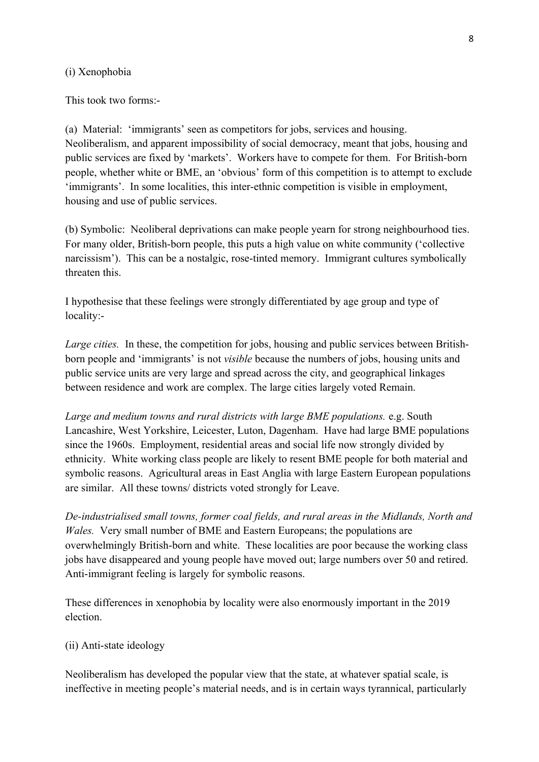#### (i) Xenophobia

This took two forms:-

(a) Material: 'immigrants' seen as competitors for jobs, services and housing. Neoliberalism, and apparent impossibility of social democracy, meant that jobs, housing and public services are fixed by 'markets'. Workers have to compete for them. For British-born people, whether white or BME, an 'obvious' form of this competition is to attempt to exclude 'immigrants'. In some localities, this inter-ethnic competition is visible in employment, housing and use of public services.

(b) Symbolic: Neoliberal deprivations can make people yearn for strong neighbourhood ties. For many older, British-born people, this puts a high value on white community ('collective narcissism'). This can be a nostalgic, rose-tinted memory. Immigrant cultures symbolically threaten this.

I hypothesise that these feelings were strongly differentiated by age group and type of locality:-

*Large cities.* In these, the competition for jobs, housing and public services between Britishborn people and 'immigrants' is not *visible* because the numbers of jobs, housing units and public service units are very large and spread across the city, and geographical linkages between residence and work are complex. The large cities largely voted Remain.

*Large and medium towns and rural districts with large BME populations.* e.g. South Lancashire, West Yorkshire, Leicester, Luton, Dagenham. Have had large BME populations since the 1960s. Employment, residential areas and social life now strongly divided by ethnicity. White working class people are likely to resent BME people for both material and symbolic reasons. Agricultural areas in East Anglia with large Eastern European populations are similar. All these towns/ districts voted strongly for Leave.

*De-industrialised small towns, former coal fields, and rural areas in the Midlands, North and Wales.* Very small number of BME and Eastern Europeans; the populations are overwhelmingly British-born and white. These localities are poor because the working class jobs have disappeared and young people have moved out; large numbers over 50 and retired. Anti-immigrant feeling is largely for symbolic reasons.

These differences in xenophobia by locality were also enormously important in the 2019 election.

#### (ii) Anti-state ideology

Neoliberalism has developed the popular view that the state, at whatever spatial scale, is ineffective in meeting people's material needs, and is in certain ways tyrannical, particularly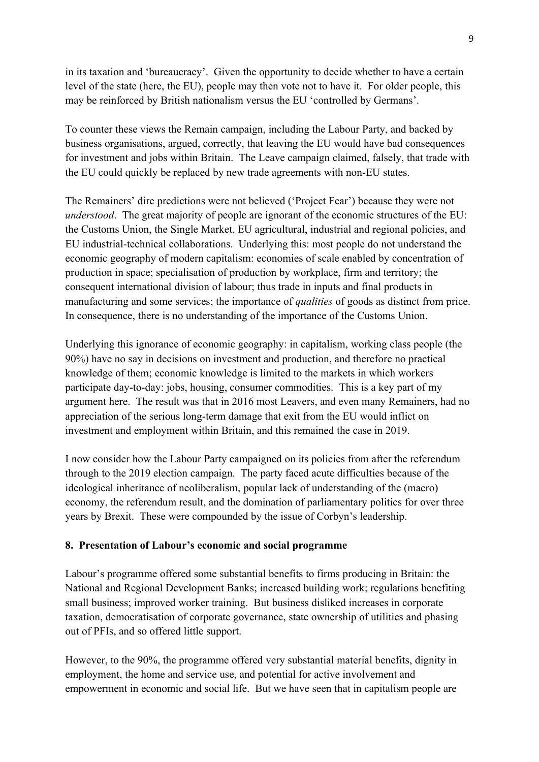in its taxation and 'bureaucracy'. Given the opportunity to decide whether to have a certain level of the state (here, the EU), people may then vote not to have it. For older people, this may be reinforced by British nationalism versus the EU 'controlled by Germans'.

To counter these views the Remain campaign, including the Labour Party, and backed by business organisations, argued, correctly, that leaving the EU would have bad consequences for investment and jobs within Britain. The Leave campaign claimed, falsely, that trade with the EU could quickly be replaced by new trade agreements with non-EU states.

The Remainers' dire predictions were not believed ('Project Fear') because they were not *understood*. The great majority of people are ignorant of the economic structures of the EU: the Customs Union, the Single Market, EU agricultural, industrial and regional policies, and EU industrial-technical collaborations. Underlying this: most people do not understand the economic geography of modern capitalism: economies of scale enabled by concentration of production in space; specialisation of production by workplace, firm and territory; the consequent international division of labour; thus trade in inputs and final products in manufacturing and some services; the importance of *qualities* of goods as distinct from price. In consequence, there is no understanding of the importance of the Customs Union.

Underlying this ignorance of economic geography: in capitalism, working class people (the 90%) have no say in decisions on investment and production, and therefore no practical knowledge of them; economic knowledge is limited to the markets in which workers participate day-to-day: jobs, housing, consumer commodities. This is a key part of my argument here. The result was that in 2016 most Leavers, and even many Remainers, had no appreciation of the serious long-term damage that exit from the EU would inflict on investment and employment within Britain, and this remained the case in 2019.

I now consider how the Labour Party campaigned on its policies from after the referendum through to the 2019 election campaign. The party faced acute difficulties because of the ideological inheritance of neoliberalism, popular lack of understanding of the (macro) economy, the referendum result, and the domination of parliamentary politics for over three years by Brexit. These were compounded by the issue of Corbyn's leadership.

### **8. Presentation of Labour's economic and social programme**

Labour's programme offered some substantial benefits to firms producing in Britain: the National and Regional Development Banks; increased building work; regulations benefiting small business; improved worker training. But business disliked increases in corporate taxation, democratisation of corporate governance, state ownership of utilities and phasing out of PFIs, and so offered little support.

However, to the 90%, the programme offered very substantial material benefits, dignity in employment, the home and service use, and potential for active involvement and empowerment in economic and social life. But we have seen that in capitalism people are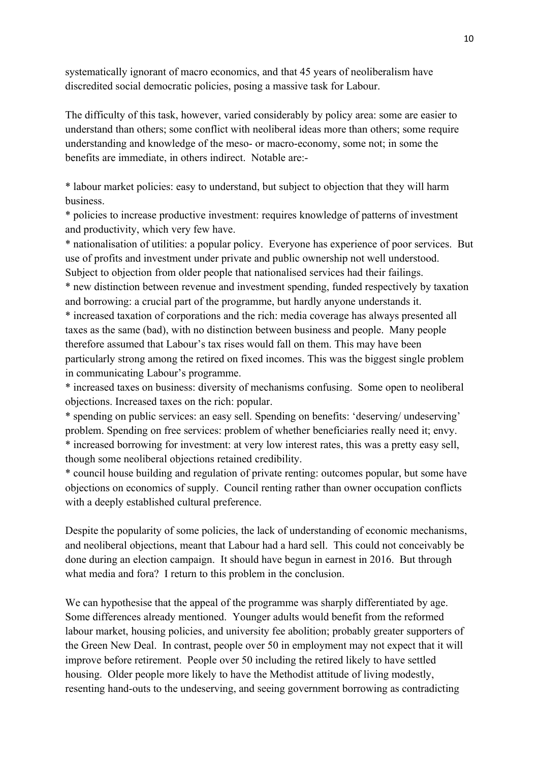systematically ignorant of macro economics, and that 45 years of neoliberalism have discredited social democratic policies, posing a massive task for Labour.

The difficulty of this task, however, varied considerably by policy area: some are easier to understand than others; some conflict with neoliberal ideas more than others; some require understanding and knowledge of the meso- or macro-economy, some not; in some the benefits are immediate, in others indirect. Notable are:-

\* labour market policies: easy to understand, but subject to objection that they will harm business.

\* policies to increase productive investment: requires knowledge of patterns of investment and productivity, which very few have.

\* nationalisation of utilities: a popular policy. Everyone has experience of poor services. But use of profits and investment under private and public ownership not well understood. Subject to objection from older people that nationalised services had their failings.

\* new distinction between revenue and investment spending, funded respectively by taxation and borrowing: a crucial part of the programme, but hardly anyone understands it.

\* increased taxation of corporations and the rich: media coverage has always presented all taxes as the same (bad), with no distinction between business and people. Many people therefore assumed that Labour's tax rises would fall on them. This may have been particularly strong among the retired on fixed incomes. This was the biggest single problem in communicating Labour's programme.

\* increased taxes on business: diversity of mechanisms confusing. Some open to neoliberal objections. Increased taxes on the rich: popular.

\* spending on public services: an easy sell. Spending on benefits: 'deserving/ undeserving' problem. Spending on free services: problem of whether beneficiaries really need it; envy. \* increased borrowing for investment: at very low interest rates, this was a pretty easy sell, though some neoliberal objections retained credibility.

\* council house building and regulation of private renting: outcomes popular, but some have objections on economics of supply. Council renting rather than owner occupation conflicts with a deeply established cultural preference.

Despite the popularity of some policies, the lack of understanding of economic mechanisms, and neoliberal objections, meant that Labour had a hard sell. This could not conceivably be done during an election campaign. It should have begun in earnest in 2016. But through what media and fora? I return to this problem in the conclusion.

We can hypothesise that the appeal of the programme was sharply differentiated by age. Some differences already mentioned. Younger adults would benefit from the reformed labour market, housing policies, and university fee abolition; probably greater supporters of the Green New Deal. In contrast, people over 50 in employment may not expect that it will improve before retirement. People over 50 including the retired likely to have settled housing. Older people more likely to have the Methodist attitude of living modestly, resenting hand-outs to the undeserving, and seeing government borrowing as contradicting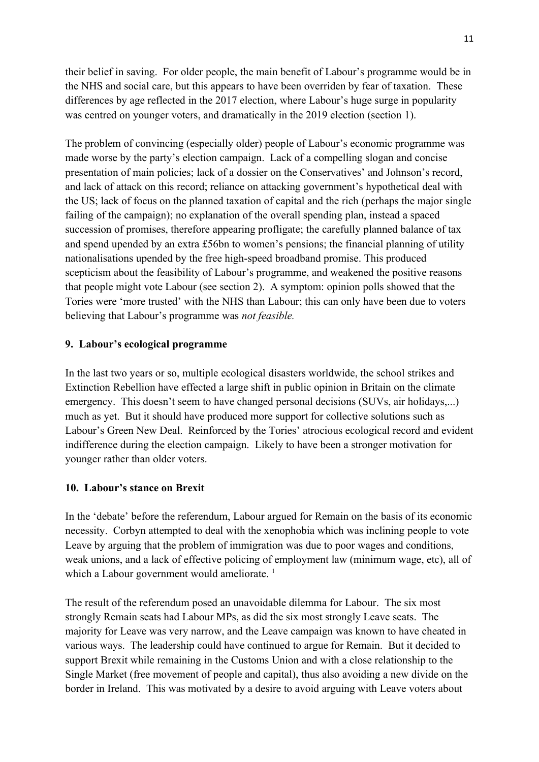their belief in saving. For older people, the main benefit of Labour's programme would be in the NHS and social care, but this appears to have been overriden by fear of taxation. These differences by age reflected in the 2017 election, where Labour's huge surge in popularity was centred on younger voters, and dramatically in the 2019 election (section 1).

The problem of convincing (especially older) people of Labour's economic programme was made worse by the party's election campaign. Lack of a compelling slogan and concise presentation of main policies; lack of a dossier on the Conservatives' and Johnson's record, and lack of attack on this record; reliance on attacking government's hypothetical deal with the US; lack of focus on the planned taxation of capital and the rich (perhaps the major single failing of the campaign); no explanation of the overall spending plan, instead a spaced succession of promises, therefore appearing profligate; the carefully planned balance of tax and spend upended by an extra £56bn to women's pensions; the financial planning of utility nationalisations upended by the free high-speed broadband promise. This produced scepticism about the feasibility of Labour's programme, and weakened the positive reasons that people might vote Labour (see section 2). A symptom: opinion polls showed that the Tories were 'more trusted' with the NHS than Labour; this can only have been due to voters believing that Labour's programme was *not feasible.*

#### **9. Labour's ecological programme**

In the last two years or so, multiple ecological disasters worldwide, the school strikes and Extinction Rebellion have effected a large shift in public opinion in Britain on the climate emergency. This doesn't seem to have changed personal decisions (SUVs, air holidays,...) much as yet. But it should have produced more support for collective solutions such as Labour's Green New Deal. Reinforced by the Tories' atrocious ecological record and evident indifference during the election campaign. Likely to have been a stronger motivation for younger rather than older voters.

#### **10. Labour's stance on Brexit**

In the 'debate' before the referendum, Labour argued for Remain on the basis of its economic necessity. Corbyn attempted to deal with the xenophobia which was inclining people to vote Leave by arguing that the problem of immigration was due to poor wages and conditions, weak unions, and a lack of effective policing of employment law (minimum wage, etc), all of which a Labour government would ameliorate.<sup>1</sup>

The result of the referendum posed an unavoidable dilemma for Labour. The six most strongly Remain seats had Labour MPs, as did the six most strongly Leave seats. The majority for Leave was very narrow, and the Leave campaign was known to have cheated in various ways. The leadership could have continued to argue for Remain. But it decided to support Brexit while remaining in the Customs Union and with a close relationship to the Single Market (free movement of people and capital), thus also avoiding a new divide on the border in Ireland. This was motivated by a desire to avoid arguing with Leave voters about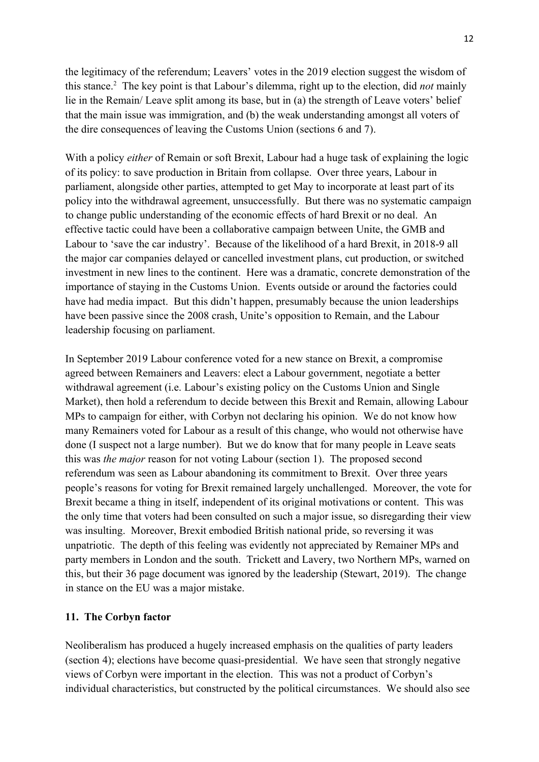the legitimacy of the referendum; Leavers' votes in the 2019 election suggest the wisdom of this stance.<sup>2</sup> The key point is that Labour's dilemma, right up to the election, did *not* mainly lie in the Remain/ Leave split among its base, but in (a) the strength of Leave voters' belief that the main issue was immigration, and (b) the weak understanding amongst all voters of the dire consequences of leaving the Customs Union (sections 6 and 7).

With a policy *either* of Remain or soft Brexit, Labour had a huge task of explaining the logic of its policy: to save production in Britain from collapse. Over three years, Labour in parliament, alongside other parties, attempted to get May to incorporate at least part of its policy into the withdrawal agreement, unsuccessfully. But there was no systematic campaign to change public understanding of the economic effects of hard Brexit or no deal. An effective tactic could have been a collaborative campaign between Unite, the GMB and Labour to 'save the car industry'. Because of the likelihood of a hard Brexit, in 2018-9 all the major car companies delayed or cancelled investment plans, cut production, or switched investment in new lines to the continent. Here was a dramatic, concrete demonstration of the importance of staying in the Customs Union. Events outside or around the factories could have had media impact. But this didn't happen, presumably because the union leaderships have been passive since the 2008 crash, Unite's opposition to Remain, and the Labour leadership focusing on parliament.

In September 2019 Labour conference voted for a new stance on Brexit, a compromise agreed between Remainers and Leavers: elect a Labour government, negotiate a better withdrawal agreement (i.e. Labour's existing policy on the Customs Union and Single Market), then hold a referendum to decide between this Brexit and Remain, allowing Labour MPs to campaign for either, with Corbyn not declaring his opinion. We do not know how many Remainers voted for Labour as a result of this change, who would not otherwise have done (I suspect not a large number). But we do know that for many people in Leave seats this was *the major* reason for not voting Labour (section 1). The proposed second referendum was seen as Labour abandoning its commitment to Brexit. Over three years people's reasons for voting for Brexit remained largely unchallenged. Moreover, the vote for Brexit became a thing in itself, independent of its original motivations or content. This was the only time that voters had been consulted on such a major issue, so disregarding their view was insulting. Moreover, Brexit embodied British national pride, so reversing it was unpatriotic. The depth of this feeling was evidently not appreciated by Remainer MPs and party members in London and the south. Trickett and Lavery, two Northern MPs, warned on this, but their 36 page document was ignored by the leadership (Stewart, 2019). The change in stance on the EU was a major mistake.

#### **11. The Corbyn factor**

Neoliberalism has produced a hugely increased emphasis on the qualities of party leaders (section 4); elections have become quasi-presidential. We have seen that strongly negative views of Corbyn were important in the election. This was not a product of Corbyn's individual characteristics, but constructed by the political circumstances. We should also see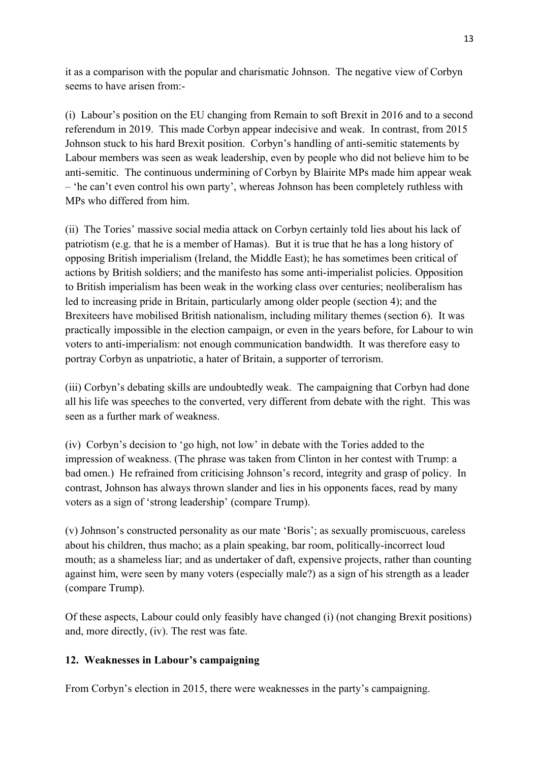it as a comparison with the popular and charismatic Johnson. The negative view of Corbyn seems to have arisen from:-

(i) Labour's position on the EU changing from Remain to soft Brexit in 2016 and to a second referendum in 2019. This made Corbyn appear indecisive and weak. In contrast, from 2015 Johnson stuck to his hard Brexit position. Corbyn's handling of anti-semitic statements by Labour members was seen as weak leadership, even by people who did not believe him to be anti-semitic. The continuous undermining of Corbyn by Blairite MPs made him appear weak – 'he can't even control his own party', whereas Johnson has been completely ruthless with MPs who differed from him.

(ii) The Tories' massive social media attack on Corbyn certainly told lies about his lack of patriotism (e.g. that he is a member of Hamas). But it is true that he has a long history of opposing British imperialism (Ireland, the Middle East); he has sometimes been critical of actions by British soldiers; and the manifesto has some anti-imperialist policies. Opposition to British imperialism has been weak in the working class over centuries; neoliberalism has led to increasing pride in Britain, particularly among older people (section 4); and the Brexiteers have mobilised British nationalism, including military themes (section 6). It was practically impossible in the election campaign, or even in the years before, for Labour to win voters to anti-imperialism: not enough communication bandwidth. It was therefore easy to portray Corbyn as unpatriotic, a hater of Britain, a supporter of terrorism.

(iii) Corbyn's debating skills are undoubtedly weak. The campaigning that Corbyn had done all his life was speeches to the converted, very different from debate with the right. This was seen as a further mark of weakness.

(iv) Corbyn's decision to 'go high, not low' in debate with the Tories added to the impression of weakness. (The phrase was taken from Clinton in her contest with Trump: a bad omen.) He refrained from criticising Johnson's record, integrity and grasp of policy. In contrast, Johnson has always thrown slander and lies in his opponents faces, read by many voters as a sign of 'strong leadership' (compare Trump).

(v) Johnson's constructed personality as our mate 'Boris'; as sexually promiscuous, careless about his children, thus macho; as a plain speaking, bar room, politically-incorrect loud mouth; as a shameless liar; and as undertaker of daft, expensive projects, rather than counting against him, were seen by many voters (especially male?) as a sign of his strength as a leader (compare Trump).

Of these aspects, Labour could only feasibly have changed (i) (not changing Brexit positions) and, more directly, (iv). The rest was fate.

## **12. Weaknesses in Labour's campaigning**

From Corbyn's election in 2015, there were weaknesses in the party's campaigning.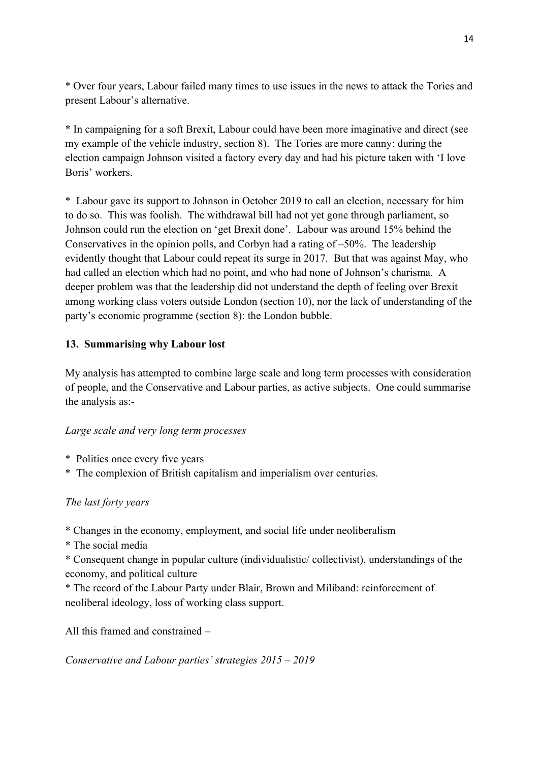\* Over four years, Labour failed many times to use issues in the news to attack the Tories and present Labour's alternative.

\* In campaigning for a soft Brexit, Labour could have been more imaginative and direct (see my example of the vehicle industry, section 8). The Tories are more canny: during the election campaign Johnson visited a factory every day and had his picture taken with 'I love Boris' workers.

\* Labour gave its support to Johnson in October 2019 to call an election, necessary for him to do so. This was foolish. The withdrawal bill had not yet gone through parliament, so Johnson could run the election on 'get Brexit done'. Labour was around 15% behind the Conservatives in the opinion polls, and Corbyn had a rating of –50%. The leadership evidently thought that Labour could repeat its surge in 2017. But that was against May, who had called an election which had no point, and who had none of Johnson's charisma. A deeper problem was that the leadership did not understand the depth of feeling over Brexit among working class voters outside London (section 10), nor the lack of understanding of the party's economic programme (section 8): the London bubble.

## **13. Summarising why Labour lost**

My analysis has attempted to combine large scale and long term processes with consideration of people, and the Conservative and Labour parties, as active subjects. One could summarise the analysis as:-

### *Large scale and very long term processes*

- \* Politics once every five years
- \* The complexion of British capitalism and imperialism over centuries.

### *The last forty years*

\* Changes in the economy, employment, and social life under neoliberalism

\* The social media

\* Consequent change in popular culture (individualistic/ collectivist), understandings of the economy, and political culture

\* The record of the Labour Party under Blair, Brown and Miliband: reinforcement of neoliberal ideology, loss of working class support.

All this framed and constrained –

*Conservative and Labour parties' strategies 2015 – 2019*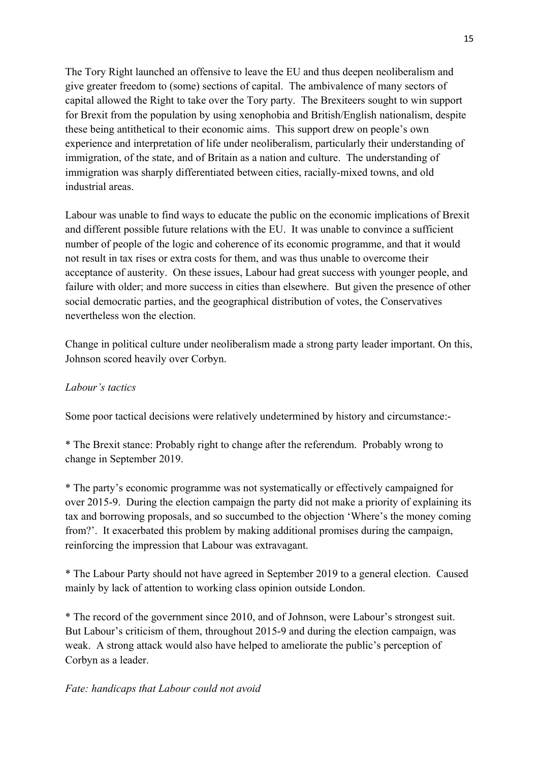The Tory Right launched an offensive to leave the EU and thus deepen neoliberalism and give greater freedom to (some) sections of capital. The ambivalence of many sectors of capital allowed the Right to take over the Tory party. The Brexiteers sought to win support for Brexit from the population by using xenophobia and British/English nationalism, despite these being antithetical to their economic aims. This support drew on people's own experience and interpretation of life under neoliberalism, particularly their understanding of immigration, of the state, and of Britain as a nation and culture. The understanding of immigration was sharply differentiated between cities, racially-mixed towns, and old industrial areas.

Labour was unable to find ways to educate the public on the economic implications of Brexit and different possible future relations with the EU. It was unable to convince a sufficient number of people of the logic and coherence of its economic programme, and that it would not result in tax rises or extra costs for them, and was thus unable to overcome their acceptance of austerity. On these issues, Labour had great success with younger people, and failure with older; and more success in cities than elsewhere. But given the presence of other social democratic parties, and the geographical distribution of votes, the Conservatives nevertheless won the election.

Change in political culture under neoliberalism made a strong party leader important. On this, Johnson scored heavily over Corbyn.

### *Labour's tactics*

Some poor tactical decisions were relatively undetermined by history and circumstance:-

\* The Brexit stance: Probably right to change after the referendum. Probably wrong to change in September 2019.

\* The party's economic programme was not systematically or effectively campaigned for over 2015-9. During the election campaign the party did not make a priority of explaining its tax and borrowing proposals, and so succumbed to the objection 'Where's the money coming from?'. It exacerbated this problem by making additional promises during the campaign, reinforcing the impression that Labour was extravagant.

\* The Labour Party should not have agreed in September 2019 to a general election. Caused mainly by lack of attention to working class opinion outside London.

\* The record of the government since 2010, and of Johnson, were Labour's strongest suit. But Labour's criticism of them, throughout 2015-9 and during the election campaign, was weak. A strong attack would also have helped to ameliorate the public's perception of Corbyn as a leader.

### *Fate: handicaps that Labour could not avoid*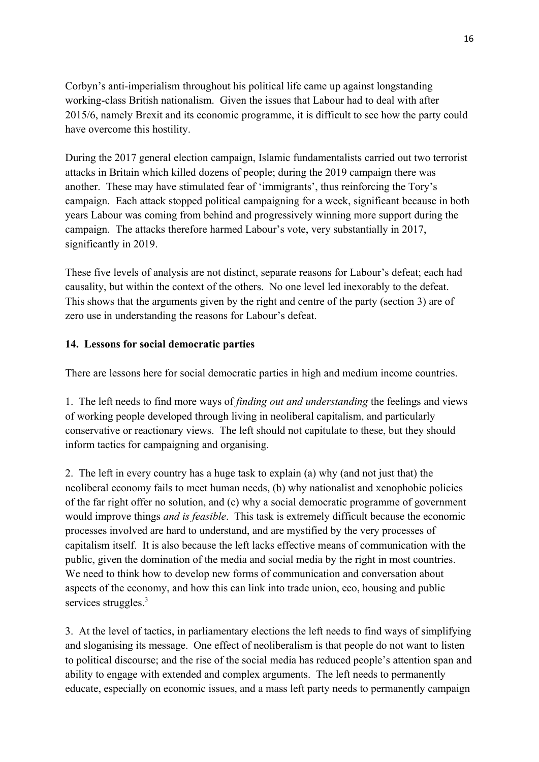Corbyn's anti-imperialism throughout his political life came up against longstanding working-class British nationalism. Given the issues that Labour had to deal with after 2015/6, namely Brexit and its economic programme, it is difficult to see how the party could have overcome this hostility.

During the 2017 general election campaign, Islamic fundamentalists carried out two terrorist attacks in Britain which killed dozens of people; during the 2019 campaign there was another. These may have stimulated fear of 'immigrants', thus reinforcing the Tory's campaign. Each attack stopped political campaigning for a week, significant because in both years Labour was coming from behind and progressively winning more support during the campaign. The attacks therefore harmed Labour's vote, very substantially in 2017, significantly in 2019.

These five levels of analysis are not distinct, separate reasons for Labour's defeat; each had causality, but within the context of the others. No one level led inexorably to the defeat. This shows that the arguments given by the right and centre of the party (section 3) are of zero use in understanding the reasons for Labour's defeat.

## **14. Lessons for social democratic parties**

There are lessons here for social democratic parties in high and medium income countries.

1. The left needs to find more ways of *finding out and understanding* the feelings and views of working people developed through living in neoliberal capitalism, and particularly conservative or reactionary views. The left should not capitulate to these, but they should inform tactics for campaigning and organising.

2. The left in every country has a huge task to explain (a) why (and not just that) the neoliberal economy fails to meet human needs, (b) why nationalist and xenophobic policies of the far right offer no solution, and (c) why a social democratic programme of government would improve things *and is feasible*. This task is extremely difficult because the economic processes involved are hard to understand, and are mystified by the very processes of capitalism itself. It is also because the left lacks effective means of communication with the public, given the domination of the media and social media by the right in most countries. We need to think how to develop new forms of communication and conversation about aspects of the economy, and how this can link into trade union, eco, housing and public services struggles.<sup>3</sup>

3. At the level of tactics, in parliamentary elections the left needs to find ways of simplifying and sloganising its message. One effect of neoliberalism is that people do not want to listen to political discourse; and the rise of the social media has reduced people's attention span and ability to engage with extended and complex arguments. The left needs to permanently educate, especially on economic issues, and a mass left party needs to permanently campaign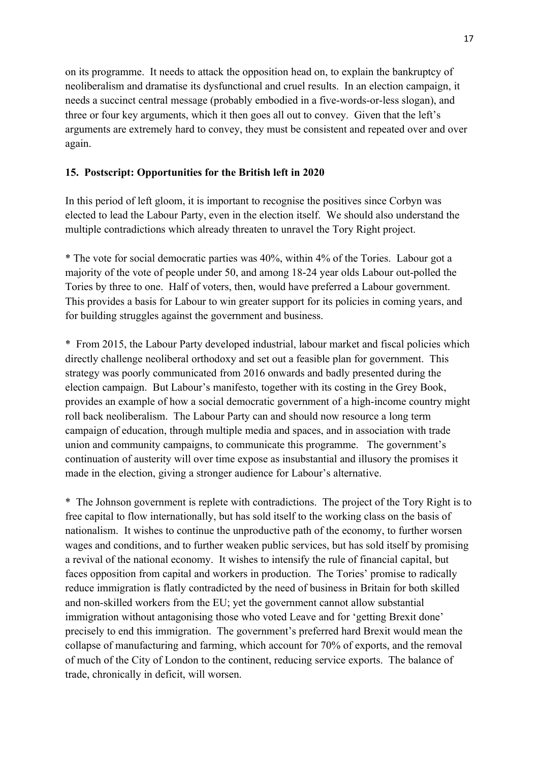on its programme. It needs to attack the opposition head on, to explain the bankruptcy of neoliberalism and dramatise its dysfunctional and cruel results. In an election campaign, it needs a succinct central message (probably embodied in a five-words-or-less slogan), and three or four key arguments, which it then goes all out to convey. Given that the left's arguments are extremely hard to convey, they must be consistent and repeated over and over again.

#### **15. Postscript: Opportunities for the British left in 2020**

In this period of left gloom, it is important to recognise the positives since Corbyn was elected to lead the Labour Party, even in the election itself. We should also understand the multiple contradictions which already threaten to unravel the Tory Right project.

\* The vote for social democratic parties was 40%, within 4% of the Tories. Labour got a majority of the vote of people under 50, and among 18-24 year olds Labour out-polled the Tories by three to one. Half of voters, then, would have preferred a Labour government. This provides a basis for Labour to win greater support for its policies in coming years, and for building struggles against the government and business.

\* From 2015, the Labour Party developed industrial, labour market and fiscal policies which directly challenge neoliberal orthodoxy and set out a feasible plan for government. This strategy was poorly communicated from 2016 onwards and badly presented during the election campaign. But Labour's manifesto, together with its costing in the Grey Book, provides an example of how a social democratic government of a high-income country might roll back neoliberalism. The Labour Party can and should now resource a long term campaign of education, through multiple media and spaces, and in association with trade union and community campaigns, to communicate this programme. The government's continuation of austerity will over time expose as insubstantial and illusory the promises it made in the election, giving a stronger audience for Labour's alternative.

\* The Johnson government is replete with contradictions. The project of the Tory Right is to free capital to flow internationally, but has sold itself to the working class on the basis of nationalism. It wishes to continue the unproductive path of the economy, to further worsen wages and conditions, and to further weaken public services, but has sold itself by promising a revival of the national economy. It wishes to intensify the rule of financial capital, but faces opposition from capital and workers in production. The Tories' promise to radically reduce immigration is flatly contradicted by the need of business in Britain for both skilled and non-skilled workers from the EU; yet the government cannot allow substantial immigration without antagonising those who voted Leave and for 'getting Brexit done' precisely to end this immigration. The government's preferred hard Brexit would mean the collapse of manufacturing and farming, which account for 70% of exports, and the removal of much of the City of London to the continent, reducing service exports. The balance of trade, chronically in deficit, will worsen.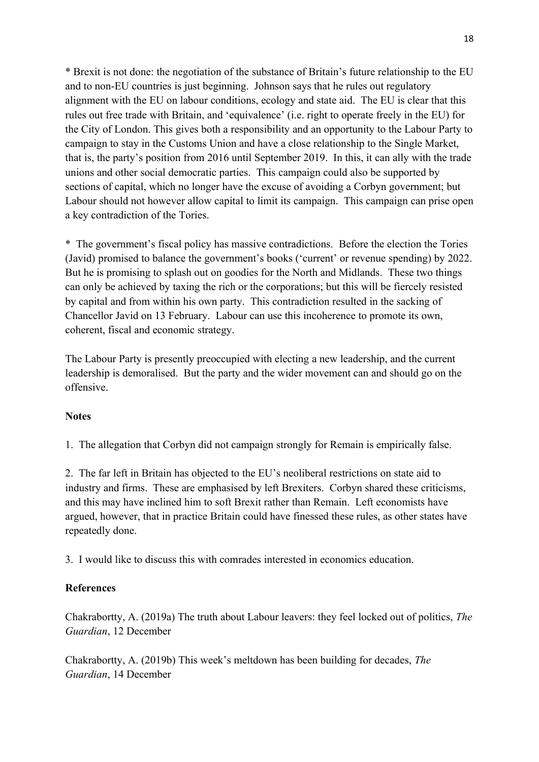\* Brexit is not done: the negotiation of the substance of Britain's future relationship to the EU and to non-EU countries is just beginning. Johnson says that he rules out regulatory alignment with the EU on labour conditions, ecology and state aid. The EU is clear that this rules out free trade with Britain, and 'equivalence' (i.e. right to operate freely in the EU) for the City of London. This gives both a responsibility and an opportunity to the Labour Party to campaign to stay in the Customs Union and have a close relationship to the Single Market, that is, the party's position from 2016 until September 2019. In this, it can ally with the trade unions and other social democratic parties. This campaign could also be supported by sections of capital, which no longer have the excuse of avoiding a Corbyn government; but Labour should not however allow capital to limit its campaign. This campaign can prise open a key contradiction of the Tories.

\* The government's fiscal policy has massive contradictions. Before the election the Tories (Javid) promised to balance the government's books ('current' or revenue spending) by 2022. But he is promising to splash out on goodies for the North and Midlands. These two things can only be achieved by taxing the rich or the corporations; but this will be fiercely resisted by capital and from within his own party. This contradiction resulted in the sacking of Chancellor Javid on 13 February. Labour can use this incoherence to promote its own, coherent, fiscal and economic strategy.

The Labour Party is presently preoccupied with electing a new leadership, and the current leadership is demoralised. But the party and the wider movement can and should go on the offensive.

### **Notes**

1. The allegation that Corbyn did not campaign strongly for Remain is empirically false.

2. The far left in Britain has objected to the EU's neoliberal restrictions on state aid to industry and firms. These are emphasised by left Brexiters. Corbyn shared these criticisms, and this may have inclined him to soft Brexit rather than Remain. Left economists have argued, however, that in practice Britain could have finessed these rules, as other states have repeatedly done.

3. I would like to discuss this with comrades interested in economics education.

### **References**

Chakrabortty, A. (2019a) The truth about Labour leavers: they feel locked out of politics, *The Guardian*, 12 December

Chakrabortty, A. (2019b) This week's meltdown has been building for decades, *The Guardian*, 14 December